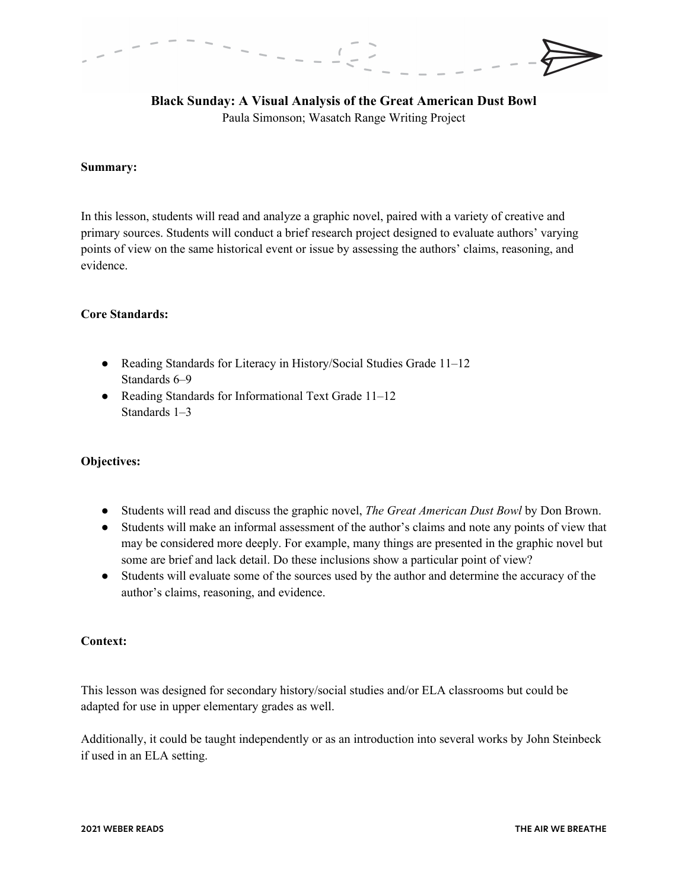**Black Sunday: A Visual Analysis of the Great American Dust Bowl** Paula Simonson; Wasatch Range Writing Project

#### **Summary:**

In this lesson, students will read and analyze a graphic novel, paired with a variety of creative and primary sources. Students will conduct a brief research project designed to evaluate authors' varying points of view on the same historical event or issue by assessing the authors' claims, reasoning, and evidence.

### **Core Standards:**

- Reading Standards for Literacy in History/Social Studies Grade 11-12 Standards 6–9
- Reading Standards for Informational Text Grade 11–12 Standards 1–3

#### **Objectives:**

- Students will read and discuss the graphic novel, *The Great American Dust Bowl* by Don Brown.
- Students will make an informal assessment of the author's claims and note any points of view that may be considered more deeply. For example, many things are presented in the graphic novel but some are brief and lack detail. Do these inclusions show a particular point of view?
- Students will evaluate some of the sources used by the author and determine the accuracy of the author's claims, reasoning, and evidence.

#### **Context:**

This lesson was designed for secondary history/social studies and/or ELA classrooms but could be adapted for use in upper elementary grades as well.

Additionally, it could be taught independently or as an introduction into several works by John Steinbeck if used in an ELA setting.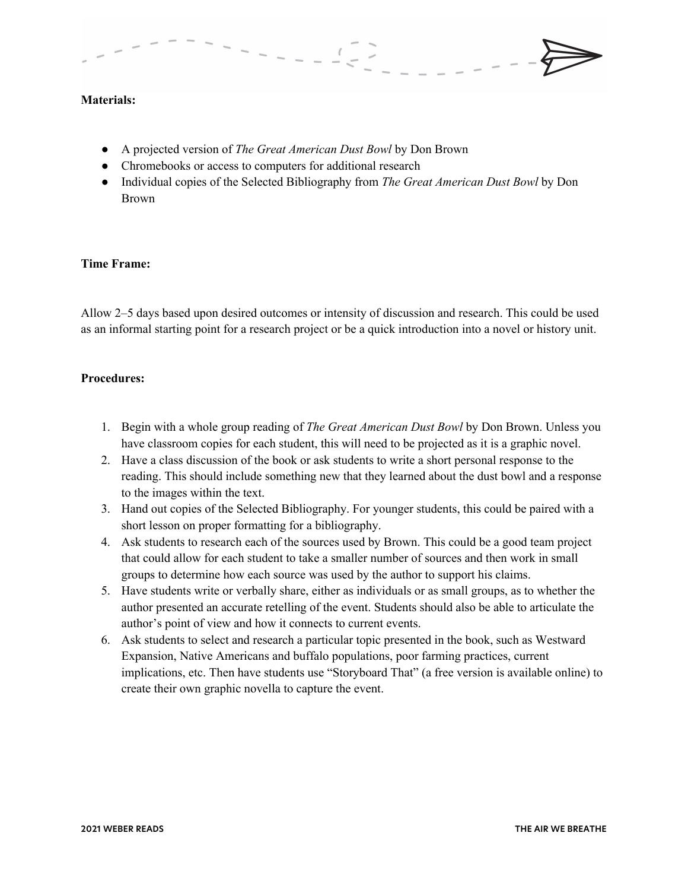

## **Materials:**

- A projected version of *The Great American Dust Bowl* by Don Brown
- Chromebooks or access to computers for additional research
- Individual copies of the Selected Bibliography from *The Great American Dust Bowl* by Don Brown

### **Time Frame:**

Allow 2–5 days based upon desired outcomes or intensity of discussion and research. This could be used as an informal starting point for a research project or be a quick introduction into a novel or history unit.

## **Procedures:**

- 1. Begin with a whole group reading of *The Great American Dust Bowl* by Don Brown. Unless you have classroom copies for each student, this will need to be projected as it is a graphic novel.
- 2. Have a class discussion of the book or ask students to write a short personal response to the reading. This should include something new that they learned about the dust bowl and a response to the images within the text.
- 3. Hand out copies of the Selected Bibliography. For younger students, this could be paired with a short lesson on proper formatting for a bibliography.
- 4. Ask students to research each of the sources used by Brown. This could be a good team project that could allow for each student to take a smaller number of sources and then work in small groups to determine how each source was used by the author to support his claims.
- 5. Have students write or verbally share, either as individuals or as small groups, as to whether the author presented an accurate retelling of the event. Students should also be able to articulate the author's point of view and how it connects to current events.
- 6. Ask students to select and research a particular topic presented in the book, such as Westward Expansion, Native Americans and buffalo populations, poor farming practices, current implications, etc. Then have students use "Storyboard That" (a free version is available online) to create their own graphic novella to capture the event.